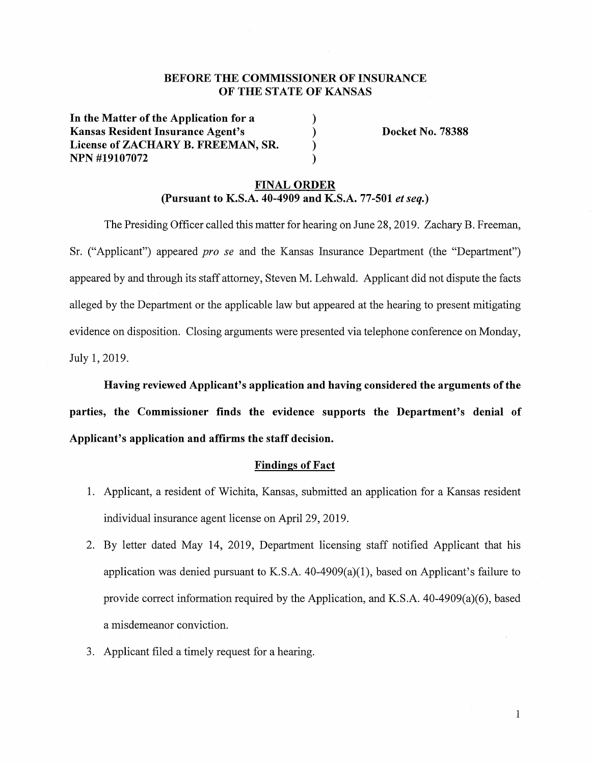# **BEFORE THE COMMISSIONER OF INSURANCE OF THE STATE OF KANSAS**

) ) ) )

**In the Matter of the Application for a Kansas Resident Insurance Agent's License of ZACHARY B. FREEMAN, SR. NPN #19107072** 

**Docket No. 78388** 

# **FINAL ORDER (Pursuant to K.S.A. 40-4909 and K.S.A. 77-501** *et seq.)*

The Presiding Officer called this matter for hearing on June 28, 2019. Zachary B. Freeman, Sr. ("Applicant") appeared *pro se* and the Kansas Insurance Department (the "Department") appeared by and through its staff attorney, Steven M. Lehwald. Applicant did not dispute the facts alleged by the Department or the applicable law but appeared at the hearing to present mitigating evidence on disposition. Closing arguments were presented via telephone conference on Monday, July 1, 2019.

**Having reviewed Applicant's application and having considered'the arguments of the** 

**parties, the Commissioner finds the evidence supports the Department's denial of Applicant's application and affirms the staff decision.** 

## **Findings of Fact**

- 1. Applicant, a resident of Wichita, Kansas, submitted an application for a Kansas resident individual insurance agent license on April 29, 2019.
- 2. By letter dated May 14, 2019, Department licensing staff notified Applicant that his application was denied pursuant to K.S.A.  $40-4909(a)(1)$ , based on Applicant's failure to provide correct information required by the Application, and K.S.A. 40-4909(a)(6), based a misdemeanor conviction.
- 3. Applicant filed a timely request for a hearing.

1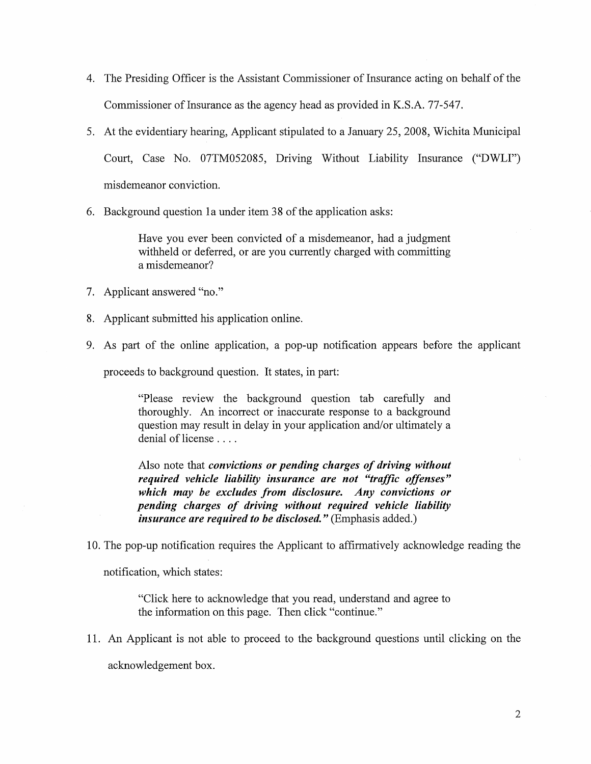- 4. The Presiding Officer is the Assistant Commissioner of Insurance acting on behalf of the Commissioner of Insurance as the agency head as provided in K.S.A. 77-547.
- 5. At the evidentiary hearing, Applicant stipulated to a January 25, 2008, Wichita Municipal Court, Case No. 07TM052085, Driving Without Liability Insurance ("DWLI") misdemeanor conviction.
- 6. Background question la under item 38 of the application asks:

Have you ever been convicted of a misdemeanor, had a judgment withheld or deferred, or are you currently charged with committing a misdemeanor?

- 7. Applicant answered "no."
- 8. Applicant submitted his application online.
- 9. As part of the online application, a pop-up notification appears before the applicant

proceeds to background question. It states, in part:

"Please review the background question tab carefully and thoroughly. An incorrect or inaccurate response to a background question may result in delay in your application and/or ultimately a denial of license ....

Also note that *convictions or pending charges of driving without required vehicle liability insurance are not "traffic offenses" which may be excludes from disclosure. Any convictions or pending charges of driving without required vehicle liability insurance are required to be disclosed.*" (Emphasis added.)

10. The pop-up notification requires the Applicant to affirmatively acknowledge reading the

notification, which states:

"Click here to acknowledge that you read, understand and agree to the information on this page. Then click "continue."

11. An Applicant is not able to proceed to the background questions until clicking on the acknowledgement box.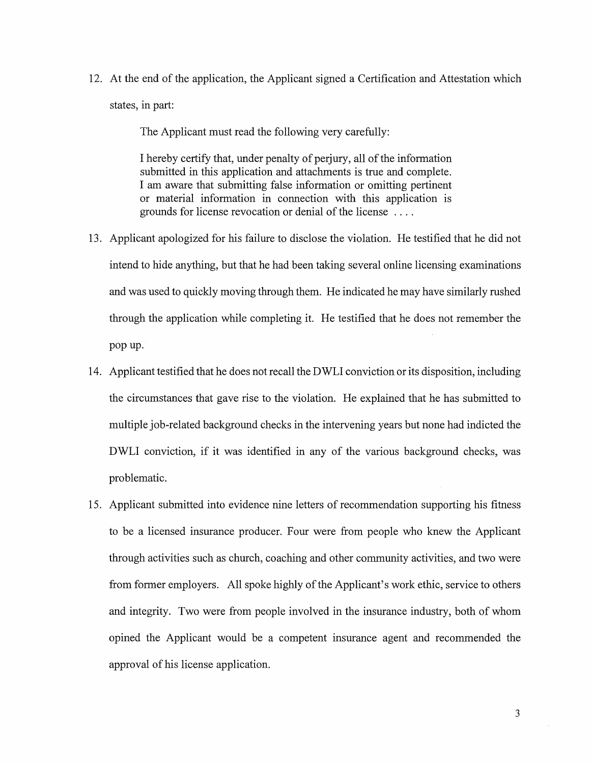12. At the end of the application, the Applicant signed a Certification and Attestation which states, in part:

The Applicant must read the following very carefully:

I hereby certify that, under penalty of perjury, all of the information submitted in this application and attachments is true and complete. I am aware that submitting false information or omitting pertinent or material information in connection with this application 1s grounds for license revocation or denial of the license ....

- 13. Applicant apologized for his failure to disclose the violation. He testified that he did not intend to hide anything, but that he had been taking several online licensing examinations and was used to quickly moving through them. He indicated he may have similarly rushed through the application while completing it. He testified that he does not remember the pop up.
- 14. Applicant testified that he does not recall the DWLI conviction or its disposition, including the circumstances that gave rise to the violation. He explained that he has submitted to multiple job-related background checks in the intervening years but none had indicted the DWLI conviction, if it was identified in any of the various background checks, was problematic.
- 15. Applicant submitted into evidence nine letters of recommendation supporting his fitness to be a licensed insurance producer. Four were from people who knew the Applicant through activities such as church, coaching and other community activities, and two were from former employers. All spoke highly of the Applicant's work ethic, service to others and integrity. Two were from people involved in the insurance industry, both of whom opined the Applicant would be a competent insurance agent and recommended the approval of his license application.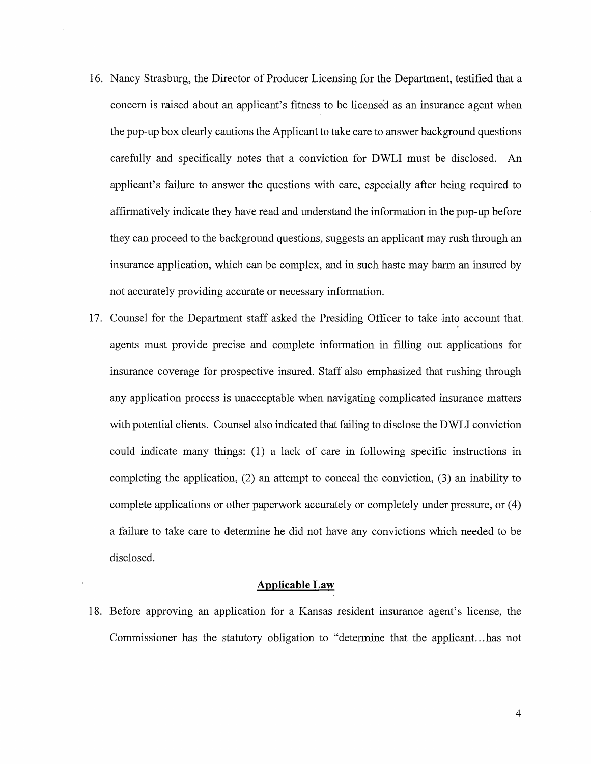- 16. Nancy Strasburg, the Director of Producer Licensing for the Department, testified that a concern is raised about an applicant's fitness to be licensed as an insurance agent when the pop-up box clearly cautions the Applicant to take care to answer background questions carefully and specifically notes that a conviction for DWLI must be disclosed. An applicant's failure to answer the questions with care, especially after being required to affirmatively indicate they have read and understand the information in the pop-up before they can proceed to the background questions, suggests an applicant may rush through an insurance application, which can be complex, and in such haste may harm an insured by not accurately providing accurate or necessary information.
- 17. Counsel for the Department staff asked the Presiding Officer to take into account that agents must provide precise and complete information in filling out applications for insurance coverage for prospective insured. Staff also emphasized that rushing through any application process is unacceptable when navigating complicated insurance matters with potential clients. Counsel also indicated that failing to disclose the DWLI conviction could indicate many things: (1) a lack of care in following specific instructions in completing the application, (2) an attempt to conceal the conviction, (3) an inability to complete applications or other paperwork accurately or completely under pressure, or ( 4) a failure to take care to determine he did not have any convictions which needed to be disclosed.

#### **Applicable Law**

18. Before approving an application for a Kansas resident insurance agent's license, the Commissioner has the statutory obligation to "determine that the applicant ... has not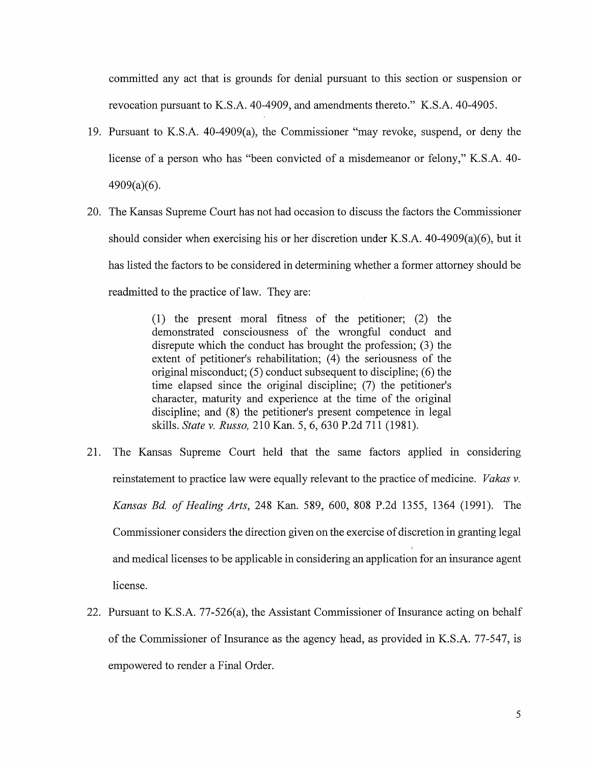committed any act that is grounds for denial pursuant to this section or suspension or revocation pursuant to K.S.A. 40-4909, and amendments thereto." K.S.A. 40-4905.

- 19. Pursuant to K.S.A. 40-4909(a), the Commissioner "may revoke, suspend, or deny the license of a person who has "been convicted of a misdemeanor or felony," K.S.A. 40- 4909(a)(6).
- 20. The Kansas Supreme Court has not had occasion to discuss the factors the Commissioner should consider when exercising his or her discretion under K.S.A. 40-4909(a)(6), but it has listed the factors to be considered in determining whether a former attorney should be readmitted to the practice of law. They are:

(1) the present -moral fitness of the petitioner; (2) the demonstrated consciousness of the wrongful conduct and disrepute which the conduct has brought the profession; (3) the extent of petitioner's rehabilitation; (4) the seriousness of the original misconduct;  $(5)$  conduct subsequent to discipline;  $(6)$  the time elapsed since the original discipline; (7) the petitioner's character, maturity and experience at the time of the original discipline; and (8) the petitioner's present competence in legal skills. *State v. Russo,* 210 Kan. 5, 6, 630 P.2d 711 (1981).

- 21. The Kansas Supreme Court held that the same factors applied m considering reinstatement to practice law were equally relevant to the practice of medicine. *Vakas v. Kansas Bd. of Healing Arts,* 248 Kan. 589, 600, 808 P.2d 1355, 1364 (1991). The Commissioner considers the direction given on the exercise of discretion in granting legal and medical licenses to be applicable in considering an application for an insurance agent license.
- 22. Pursuant to K.S.A. 77-526(a), the Assistant Commissioner of Insurance acting on behalf of the Commissioner of Insurance as the agency head, as provided in K.S.A. 77-547, is empowered to render a Final Order.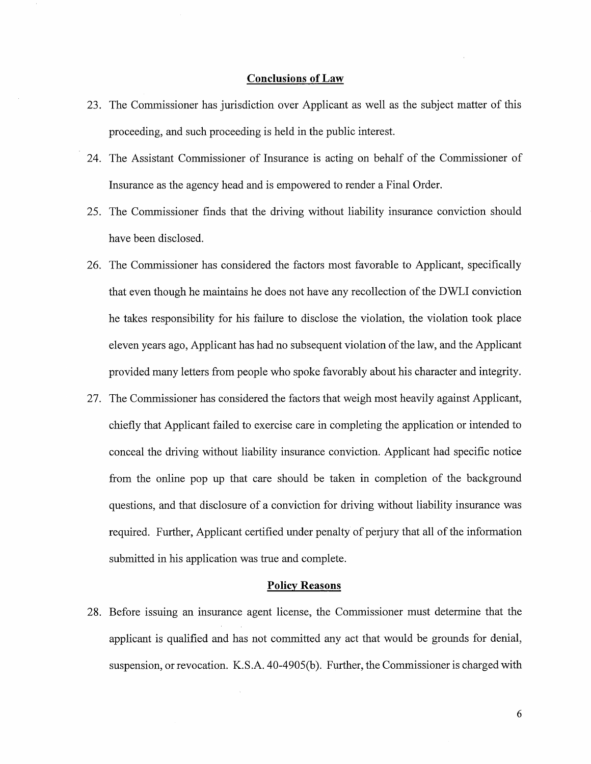#### **Conclusions of Law**

- 23. The Commissioner has jurisdiction over Applicant as well as the subject matter of this proceeding, and such proceeding is held in the public interest.
- 24. The Assistant Commissioner of Insurance is acting on behalf of the Commissioner of Insurance as the agency head and is empowered to render a Final Order.
- 25. The Commissioner finds that the driving without liability insurance conviction should have been disclosed.
- 26. The Commissioner has considered the factors most favorable to Applicant, specifically that even though he maintains he does not have any recollection of the DWLI conviction he takes responsibility for his failure to disclose the violation, the violation took place eleven years ago, Applicant has had no subsequent violation of the law, and the Applicant provided many letters from people who spoke favorably about his character and integrity.
- 27. The Commissioner has considered the factors that weigh most heavily against Applicant, chiefly that Applicant failed to exercise care in completing the application or intended to conceal the driving without liability insurance conviction. Applicant had specific notice from the online pop up that care should be taken in completion of the background questions, and that disclosure of a conviction for driving without liability insurance was required. Further, Applicant certified under penalty of perjury that all of the information submitted in his application was true and complete.

### **Policy Reasons**

28. Before issuing an insurance agent license, the Commissioner must determine that the applicant is qualified and has not committed any act that would be grounds for denial, suspension, or revocation. K.S.A. 40-4905(b). Further, the Commissioner is charged with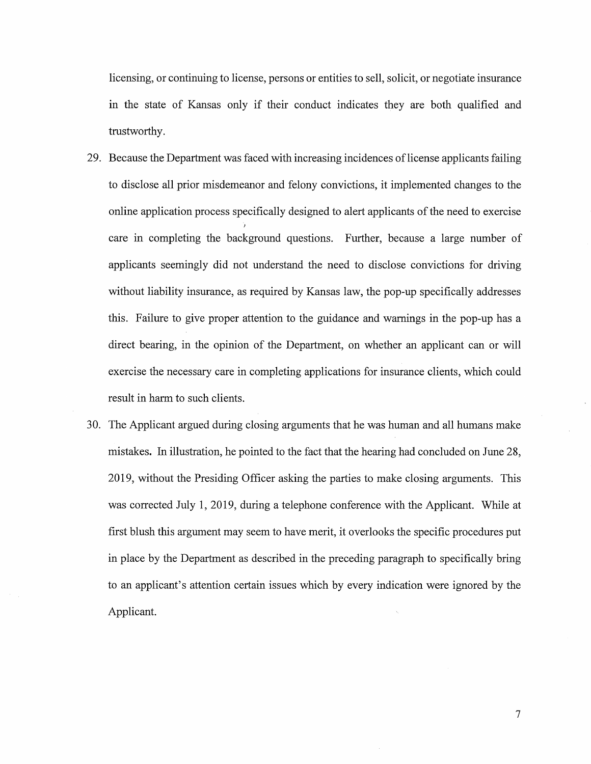licensing, or continuing to license, persons or entities to sell, solicit, or negotiate insurance in the state of Kansas only if their conduct indicates they are both qualified and trustworthy.

- 29. Because the Department was faced with increasing incidences of license applicants failing to disclose all prior misdemeanor and felony convictions, it implemented changes to the online application process specifically designed to alert applicants of the need to exercise care in completing the background questions. Further, because a large number of applicants seemingly did not understand the need to disclose convictions for driving without liability insurance, as required by Kansas law, the pop-up specifically addresses this. Failure to give proper attention to the guidance and warnings in the pop-up has a direct bearing, in the opinion of the Department, on whether an applicant can or will exercise the necessary care in completing applications for insurance clients, which could result in harm to such clients.
- 30. The Applicant argued during closing arguments that he was human and all humans make mistakes. In illustration, he pointed to the fact that the hearing had concluded on June 28, 2019, without the Presiding Officer asking the parties to make closing arguments. This was corrected July 1, 2019, during a telephone conference with the Applicant. While at first blush this argument may seem to have merit, it overlooks the specific procedures put in place by the Department as described in the preceding paragraph to specifically bring to an applicant's attention certain issues which by every indication were ignored by the Applicant.

7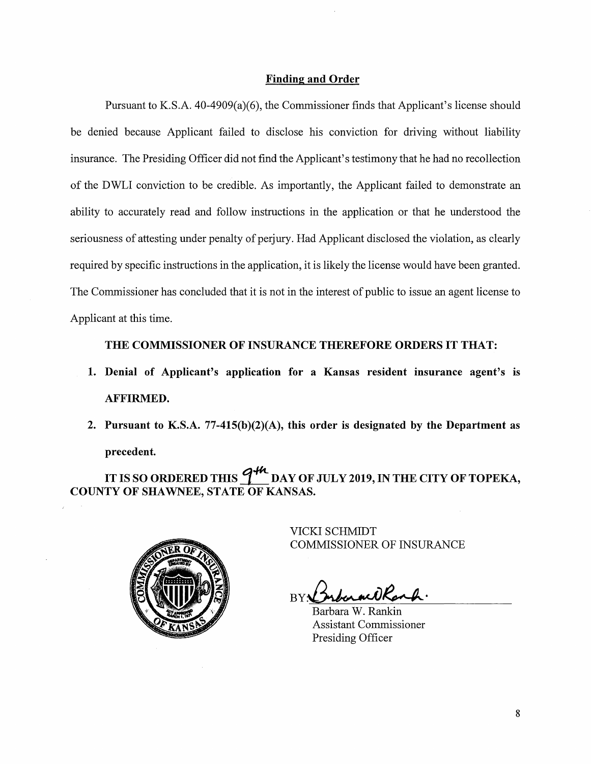### **Finding and Order**

Pursuant to K.S.A. 40-4909(a)(6), the Commissioner finds that Applicant's license should be denied because Applicant failed to disclose his conviction for driving without liability insurance. The Presiding Officer did not find the Applicant's testimony that he had no recollection of the DWLI conviction to be credible. As importantly, the Applicant failed to demonstrate an ability to accurately read and follow instructions in the application or that he understood the seriousness of attesting under penalty of perjury. Had Applicant disclosed the violation, as clearly required by specific instructions in the application, it is likely the license would have been granted. The Commissioner has concluded that it is not in the interest of public to issue an agent license to Applicant at this time.

## **THE COMMISSIONER OF INSURANCE THEREFORE ORDERS IT THAT:**

- **1. Denial of Applicant's application for a Kansas resident insurance agent's is AFFIRMED.**
- **2. Pursuant to K.S.A. 77-415(b)(2)(A), this order is designated by the Department as precedent.**

IT IS SO ORDERED THIS  $\frac{q^{4k}}{k}$  DAY OF JULY 2019, IN THE CITY OF TOPEKA, **COUNTY OF SHAWNEE, STATE OF KANSAS.** 



VICKI SCHMIDT COMMISSIONER OF INSURANCE

BY **Browne ORanh**.

Barbara W. Rankin Assistant Commissioner Presiding Officer